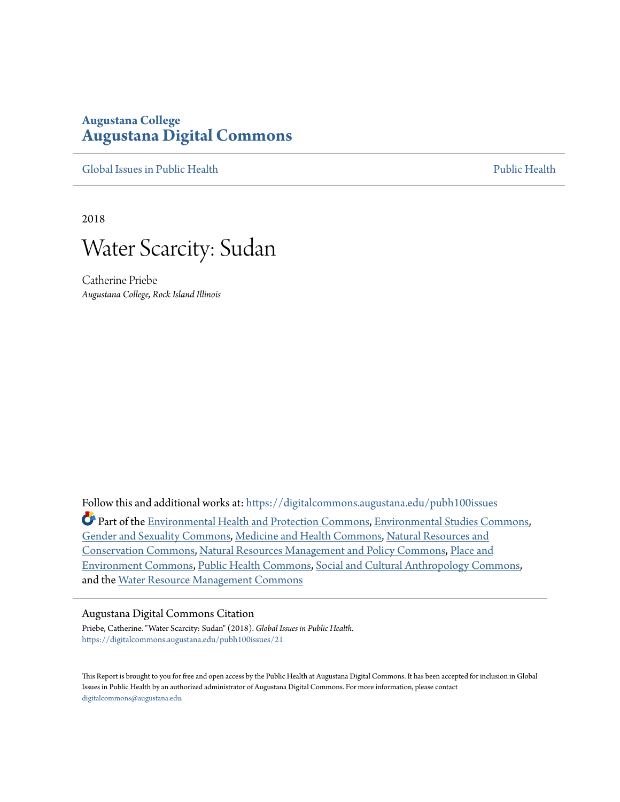# **Augustana College [Augustana Digital Commons](https://digitalcommons.augustana.edu?utm_source=digitalcommons.augustana.edu%2Fpubh100issues%2F21&utm_medium=PDF&utm_campaign=PDFCoverPages)**

[Global Issues in Public Health](https://digitalcommons.augustana.edu/pubh100issues?utm_source=digitalcommons.augustana.edu%2Fpubh100issues%2F21&utm_medium=PDF&utm_campaign=PDFCoverPages) **[Public Health](https://digitalcommons.augustana.edu/publichealth?utm_source=digitalcommons.augustana.edu%2Fpubh100issues%2F21&utm_medium=PDF&utm_campaign=PDFCoverPages)** Public Health Public Health Public Health

2018



Catherine Priebe *Augustana College, Rock Island Illinois*

Follow this and additional works at: [https://digitalcommons.augustana.edu/pubh100issues](https://digitalcommons.augustana.edu/pubh100issues?utm_source=digitalcommons.augustana.edu%2Fpubh100issues%2F21&utm_medium=PDF&utm_campaign=PDFCoverPages) Part of the [Environmental Health and Protection Commons,](http://network.bepress.com/hgg/discipline/172?utm_source=digitalcommons.augustana.edu%2Fpubh100issues%2F21&utm_medium=PDF&utm_campaign=PDFCoverPages) [Environmental Studies Commons](http://network.bepress.com/hgg/discipline/1333?utm_source=digitalcommons.augustana.edu%2Fpubh100issues%2F21&utm_medium=PDF&utm_campaign=PDFCoverPages), [Gender and Sexuality Commons,](http://network.bepress.com/hgg/discipline/420?utm_source=digitalcommons.augustana.edu%2Fpubh100issues%2F21&utm_medium=PDF&utm_campaign=PDFCoverPages) [Medicine and Health Commons](http://network.bepress.com/hgg/discipline/422?utm_source=digitalcommons.augustana.edu%2Fpubh100issues%2F21&utm_medium=PDF&utm_campaign=PDFCoverPages), [Natural Resources and](http://network.bepress.com/hgg/discipline/168?utm_source=digitalcommons.augustana.edu%2Fpubh100issues%2F21&utm_medium=PDF&utm_campaign=PDFCoverPages) [Conservation Commons](http://network.bepress.com/hgg/discipline/168?utm_source=digitalcommons.augustana.edu%2Fpubh100issues%2F21&utm_medium=PDF&utm_campaign=PDFCoverPages), [Natural Resources Management and Policy Commons](http://network.bepress.com/hgg/discipline/170?utm_source=digitalcommons.augustana.edu%2Fpubh100issues%2F21&utm_medium=PDF&utm_campaign=PDFCoverPages), [Place and](http://network.bepress.com/hgg/discipline/424?utm_source=digitalcommons.augustana.edu%2Fpubh100issues%2F21&utm_medium=PDF&utm_campaign=PDFCoverPages) [Environment Commons,](http://network.bepress.com/hgg/discipline/424?utm_source=digitalcommons.augustana.edu%2Fpubh100issues%2F21&utm_medium=PDF&utm_campaign=PDFCoverPages) [Public Health Commons](http://network.bepress.com/hgg/discipline/738?utm_source=digitalcommons.augustana.edu%2Fpubh100issues%2F21&utm_medium=PDF&utm_campaign=PDFCoverPages), [Social and Cultural Anthropology Commons,](http://network.bepress.com/hgg/discipline/323?utm_source=digitalcommons.augustana.edu%2Fpubh100issues%2F21&utm_medium=PDF&utm_campaign=PDFCoverPages) and the [Water Resource Management Commons](http://network.bepress.com/hgg/discipline/1057?utm_source=digitalcommons.augustana.edu%2Fpubh100issues%2F21&utm_medium=PDF&utm_campaign=PDFCoverPages)

#### Augustana Digital Commons Citation

Priebe, Catherine. "Water Scarcity: Sudan" (2018). *Global Issues in Public Health.* [https://digitalcommons.augustana.edu/pubh100issues/21](https://digitalcommons.augustana.edu/pubh100issues/21?utm_source=digitalcommons.augustana.edu%2Fpubh100issues%2F21&utm_medium=PDF&utm_campaign=PDFCoverPages)

This Report is brought to you for free and open access by the Public Health at Augustana Digital Commons. It has been accepted for inclusion in Global Issues in Public Health by an authorized administrator of Augustana Digital Commons. For more information, please contact [digitalcommons@augustana.edu.](mailto:digitalcommons@augustana.edu)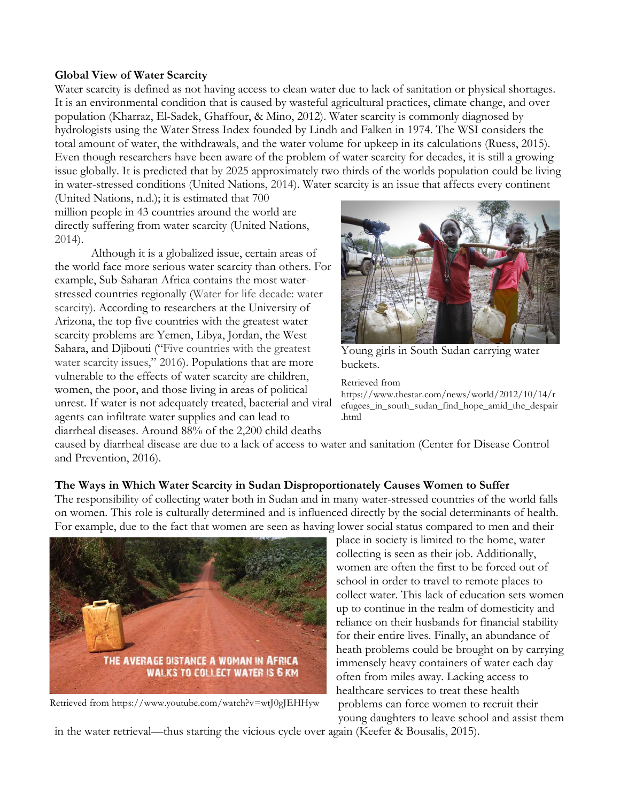### **Global View of Water Scarcity**

Water scarcity is defined as not having access to clean water due to lack of sanitation or physical shortages. It is an environmental condition that is caused by wasteful agricultural practices, climate change, and over population (Kharraz, El-Sadek, Ghaffour, & Mino, 2012). Water scarcity is commonly diagnosed by hydrologists using the Water Stress Index founded by Lindh and Falken in 1974. The WSI considers the total amount of water, the withdrawals, and the water volume for upkeep in its calculations (Ruess, 2015). Even though researchers have been aware of the problem of water scarcity for decades, it is still a growing issue globally. It is predicted that by 2025 approximately two thirds of the worlds population could be living in water-stressed conditions (United Nations, 2014). Water scarcity is an issue that affects every continent

(United Nations, n.d.); it is estimated that 700 million people in 43 countries around the world are directly suffering from water scarcity (United Nations, 2014).

Although it is a globalized issue, certain areas of the world face more serious water scarcity than others. For example, Sub-Saharan Africa contains the most waterstressed countries regionally (Water for life decade: water scarcity). According to researchers at the University of Arizona, the top five countries with the greatest water scarcity problems are Yemen, Libya, Jordan, the West Sahara, and Djibouti ("Five countries with the greatest water scarcity issues," 2016). Populations that are more vulnerable to the effects of water scarcity are children, women, the poor, and those living in areas of political unrest. If water is not adequately treated, bacterial and viral agents can infiltrate water supplies and can lead to diarrheal diseases. Around 88% of the 2,200 child deaths



Young girls in South Sudan carrying water buckets.

Retrieved from

https://www.thestar.com/news/world/2012/10/14/r efugees\_in\_south\_sudan\_find\_hope\_amid\_the\_despair .html

caused by diarrheal disease are due to a lack of access to water and sanitation (Center for Disease Control and Prevention, 2016).

## **The Ways in Which Water Scarcity in Sudan Disproportionately Causes Women to Suffer**

The responsibility of collecting water both in Sudan and in many water-stressed countries of the world falls on women. This role is culturally determined and is influenced directly by the social determinants of health. For example, due to the fact that women are seen as having lower social status compared to men and their



Retrieved from https://www.youtube.com/watch?v=wtJ0gJEHHyw

place in society is limited to the home, water collecting is seen as their job. Additionally, women are often the first to be forced out of school in order to travel to remote places to collect water. This lack of education sets women up to continue in the realm of domesticity and reliance on their husbands for financial stability for their entire lives. Finally, an abundance of heath problems could be brought on by carrying immensely heavy containers of water each day often from miles away. Lacking access to healthcare services to treat these health problems can force women to recruit their young daughters to leave school and assist them

in the water retrieval—thus starting the vicious cycle over again (Keefer & Bousalis, 2015).